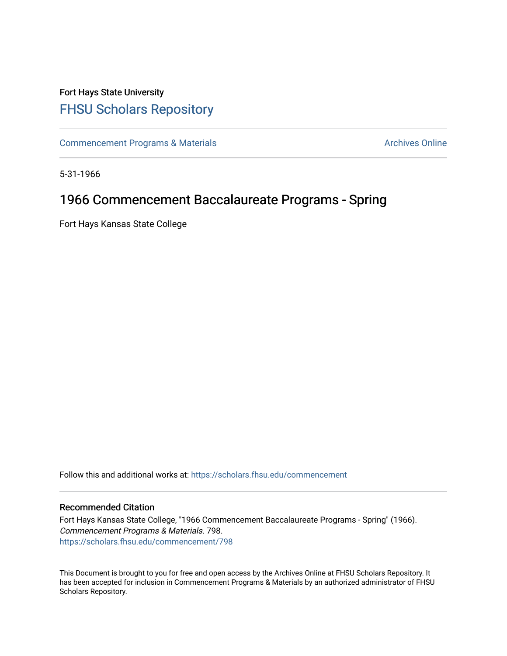## Fort Hays State University [FHSU Scholars Repository](https://scholars.fhsu.edu/)

[Commencement Programs & Materials](https://scholars.fhsu.edu/commencement) **Archives Online** Archives Online

5-31-1966

## 1966 Commencement Baccalaureate Programs - Spring

Fort Hays Kansas State College

Follow this and additional works at: [https://scholars.fhsu.edu/commencement](https://scholars.fhsu.edu/commencement?utm_source=scholars.fhsu.edu%2Fcommencement%2F798&utm_medium=PDF&utm_campaign=PDFCoverPages)

## Recommended Citation

Fort Hays Kansas State College, "1966 Commencement Baccalaureate Programs - Spring" (1966). Commencement Programs & Materials. 798. [https://scholars.fhsu.edu/commencement/798](https://scholars.fhsu.edu/commencement/798?utm_source=scholars.fhsu.edu%2Fcommencement%2F798&utm_medium=PDF&utm_campaign=PDFCoverPages)

This Document is brought to you for free and open access by the Archives Online at FHSU Scholars Repository. It has been accepted for inclusion in Commencement Programs & Materials by an authorized administrator of FHSU Scholars Repository.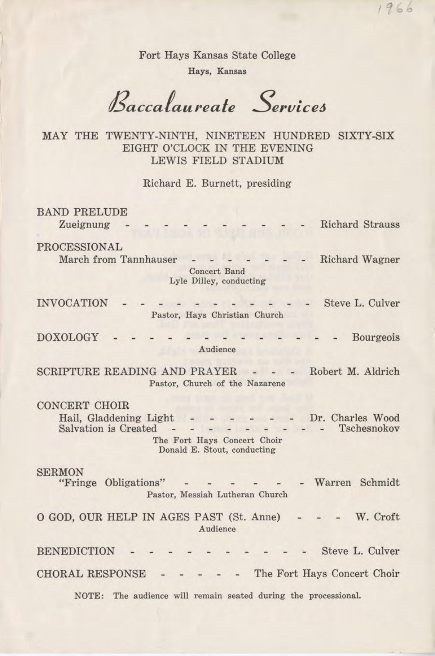Fort Hays Kansas State College

 $1966$ 

Hays, Kansas

*Baccafaureale Serviceo* 

MAY THE TWENTY-NINTH, NINETEEN HUNDRED SIXTY-SIX EIGHT O'CLOCK IN THE EVENING LEWIS FIELD STADIUM

Richard E. Burnett, presiding

BAND PRELUDE Zueignung Richard Strauss PROCESSIONAL March from Tannhauser Richard Wagner Concert Band Lyle Dilley, conducting Steve L. Culver INVOCATION Pastor, Hays Christian Church DOXOLOGY - Bourgeois Audience SCRIPTURE READING AND PRAYER - - - Robert M. Aldrich Pastor, Church of the Nazarene CONCERT CHOIR Hail, Gladdening Light  $\mathbb{D}$ r. Charles Wood Salvation is Created <u>en del esta</u> el e Tschesnokov  $\overline{a}$ The Fort Hays Concert Choir Donald E. Stout, conducting SERMON "Fringe Obligations" - Warren Schmidt Pastor, Messiah Lutheran Church 0 GOD, OUR HELP IN AGES PAST (St. Anne) W. Croft Audience **BENEDICTION** Steve L. Culver CHORAL RESPONSE - The Fort Hays Concert Choir NOTE: The audience will remain seated during the processional.